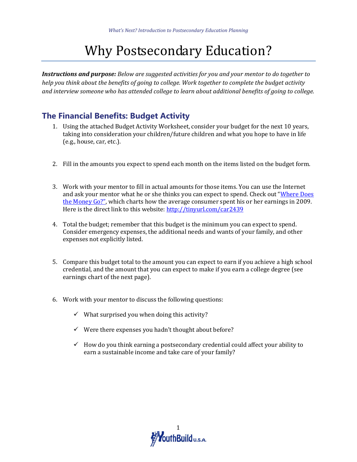# Why Postsecondary Education?

*Instructions and purpose: Below are suggested activities for you and your mentor to do together to help you think about the benefits of going to college. Work together to complete the budget activity and interview someone who has attended college to learn about additional benefits of going to college.*

### **The Financial Benefits: Budget Activity**

- 1. Using the attached Budget Activity Worksheet, consider your budget for the next 10 years, taking into consideration your children/future children and what you hope to have in life (e.g., house, car, etc.).
- 2. Fill in the amounts you expect to spend each month on the items listed on the budget form.
- 3. Work with your mentor to fill in actual amounts for those items. You can use the Internet and ask your mentor what he or she thinks you can expect to spend. Check out "Where Does [the Money Go?"](http://www.creditloan.com/infographics/how-the-average-consumer-spends-their-paycheck/), which charts how the average consumer spent his or her earnings in 2009. Here is the direct link to this website[: http://tinyurl.com/car2439](http://tinyurl.com/car2439)
- 4. Total the budget; remember that this budget is the minimum you can expect to spend. Consider emergency expenses, the additional needs and wants of your family, and other expenses not explicitly listed.
- 5. Compare this budget total to the amount you can expect to earn if you achieve a high school credential, and the amount that you can expect to make if you earn a college degree (see earnings chart of the next page).
- 6. Work with your mentor to discuss the following questions:
	- $\checkmark$  What surprised you when doing this activity?
	- $\checkmark$  Were there expenses you hadn't thought about before?
	- $\checkmark$  How do you think earning a postsecondary credential could affect your ability to earn a sustainable income and take care of your family?

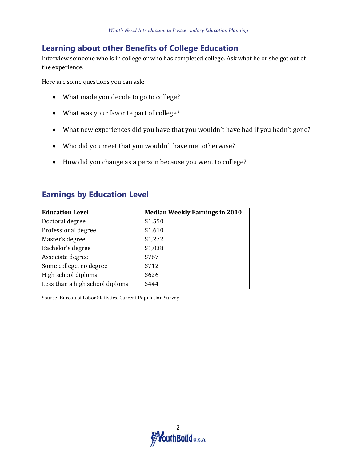#### **Learning about other Benefits of College Education**

Interview someone who is in college or who has completed college. Ask what he or she got out of the experience.

Here are some questions you can ask:

- What made you decide to go to college?
- What was your favorite part of college?
- What new experiences did you have that you wouldn't have had if you hadn't gone?
- Who did you meet that you wouldn't have met otherwise?
- How did you change as a person because you went to college?

#### **Earnings by Education Level**

| <b>Education Level</b>          | <b>Median Weekly Earnings in 2010</b> |
|---------------------------------|---------------------------------------|
| Doctoral degree                 | \$1,550                               |
| Professional degree             | \$1,610                               |
| Master's degree                 | \$1,272                               |
| Bachelor's degree               | \$1,038                               |
| Associate degree                | \$767                                 |
| Some college, no degree         | \$712                                 |
| High school diploma             | \$626                                 |
| Less than a high school diploma | \$444                                 |

Source: Bureau of Labor Statistics, Current Population Survey